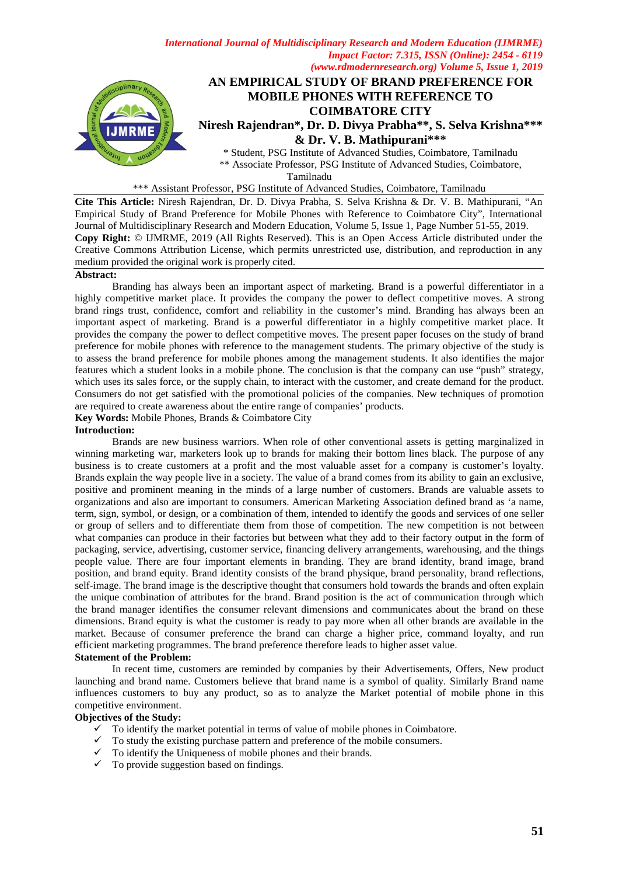

Tamilnadu

\*\*\* Assistant Professor, PSG Institute of Advanced Studies, Coimbatore, Tamilnadu

**Cite This Article:** Niresh Rajendran, Dr. D. Divya Prabha, S. Selva Krishna & Dr. V. B. Mathipurani, "An Empirical Study of Brand Preference for Mobile Phones with Reference to Coimbatore City", International Journal of Multidisciplinary Research and Modern Education, Volume 5, Issue 1, Page Number 51-55, 2019. **Copy Right:** © IJMRME, 2019 (All Rights Reserved). This is an Open Access Article distributed under the Creative Commons Attribution License, which permits unrestricted use, distribution, and reproduction in any medium provided the original work is properly cited.

#### **Abstract:**

Branding has always been an important aspect of marketing. Brand is a powerful differentiator in a highly competitive market place. It provides the company the power to deflect competitive moves. A strong brand rings trust, confidence, comfort and reliability in the customer's mind. Branding has always been an important aspect of marketing. Brand is a powerful differentiator in a highly competitive market place. It provides the company the power to deflect competitive moves. The present paper focuses on the study of brand preference for mobile phones with reference to the management students. The primary objective of the study is to assess the brand preference for mobile phones among the management students. It also identifies the major features which a student looks in a mobile phone. The conclusion is that the company can use "push" strategy, which uses its sales force, or the supply chain, to interact with the customer, and create demand for the product. Consumers do not get satisfied with the promotional policies of the companies. New techniques of promotion are required to create awareness about the entire range of companies' products.

**Key Words:** Mobile Phones, Brands & Coimbatore City

#### **Introduction:**

Brands are new business warriors. When role of other conventional assets is getting marginalized in winning marketing war, marketers look up to brands for making their bottom lines black. The purpose of any business is to create customers at a profit and the most valuable asset for a company is customer's loyalty. Brands explain the way people live in a society. The value of a brand comes from its ability to gain an exclusive, positive and prominent meaning in the minds of a large number of customers. Brands are valuable assets to organizations and also are important to consumers. American Marketing Association defined brand as 'a name, term, sign, symbol, or design, or a combination of them, intended to identify the goods and services of one seller or group of sellers and to differentiate them from those of competition. The new competition is not between what companies can produce in their factories but between what they add to their factory output in the form of packaging, service, advertising, customer service, financing delivery arrangements, warehousing, and the things people value. There are four important elements in branding. They are brand identity, brand image, brand position, and brand equity. Brand identity consists of the brand physique, brand personality, brand reflections, self-image. The brand image is the descriptive thought that consumers hold towards the brands and often explain the unique combination of attributes for the brand. Brand position is the act of communication through which the brand manager identifies the consumer relevant dimensions and communicates about the brand on these dimensions. Brand equity is what the customer is ready to pay more when all other brands are available in the market. Because of consumer preference the brand can charge a higher price, command loyalty, and run efficient marketing programmes. The brand preference therefore leads to higher asset value. **Statement of the Problem:**

 In recent time, customers are reminded by companies by their Advertisements, Offers, New product launching and brand name. Customers believe that brand name is a symbol of quality. Similarly Brand name influences customers to buy any product, so as to analyze the Market potential of mobile phone in this competitive environment.

### **Objectives of the Study:**

- $\checkmark$  To identify the market potential in terms of value of mobile phones in Coimbatore.
- To study the existing purchase pattern and preference of the mobile consumers.
- $\checkmark$  To identify the Uniqueness of mobile phones and their brands.
- $\checkmark$  To provide suggestion based on findings.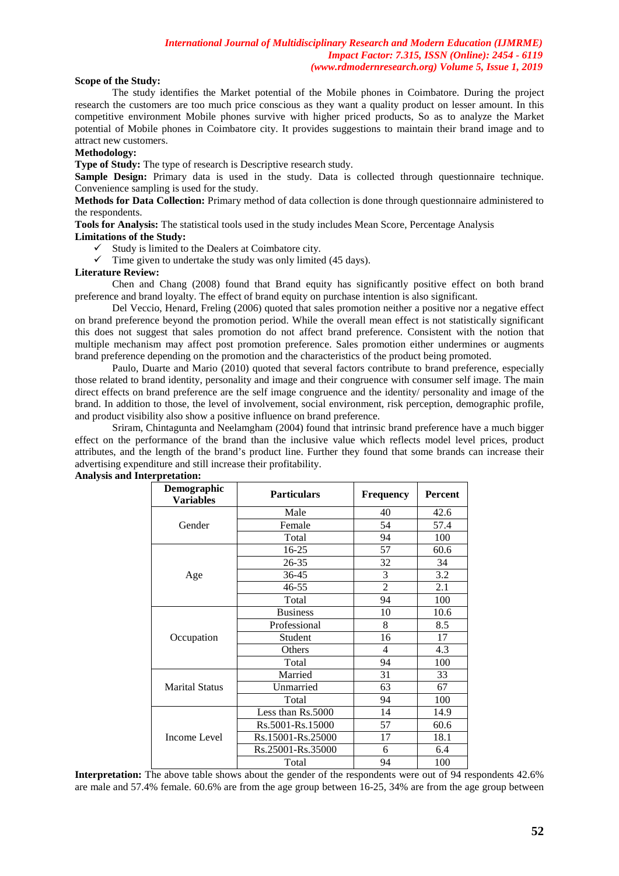### **Scope of the Study:**

The study identifies the Market potential of the Mobile phones in Coimbatore. During the project research the customers are too much price conscious as they want a quality product on lesser amount. In this competitive environment Mobile phones survive with higher priced products, So as to analyze the Market potential of Mobile phones in Coimbatore city. It provides suggestions to maintain their brand image and to attract new customers.

# **Methodology:**

**Type of Study:** The type of research is Descriptive research study.

**Sample Design:** Primary data is used in the study. Data is collected through questionnaire technique. Convenience sampling is used for the study.

**Methods for Data Collection:** Primary method of data collection is done through questionnaire administered to the respondents.

**Tools for Analysis:** The statistical tools used in the study includes Mean Score, Percentage Analysis **Limitations of the Study:** 

 $\checkmark$  Study is limited to the Dealers at Coimbatore city.

 $\checkmark$  Time given to undertake the study was only limited (45 days).

#### **Literature Review:**

Chen and Chang (2008) found that Brand equity has significantly positive effect on both brand preference and brand loyalty. The effect of brand equity on purchase intention is also significant.

Del Veccio, Henard, Freling (2006) quoted that sales promotion neither a positive nor a negative effect on brand preference beyond the promotion period. While the overall mean effect is not statistically significant this does not suggest that sales promotion do not affect brand preference. Consistent with the notion that multiple mechanism may affect post promotion preference. Sales promotion either undermines or augments brand preference depending on the promotion and the characteristics of the product being promoted.

Paulo, Duarte and Mario (2010) quoted that several factors contribute to brand preference, especially those related to brand identity, personality and image and their congruence with consumer self image. The main direct effects on brand preference are the self image congruence and the identity/ personality and image of the brand. In addition to those, the level of involvement, social environment, risk perception, demographic profile, and product visibility also show a positive influence on brand preference.

Sriram, Chintagunta and Neelamgham (2004) found that intrinsic brand preference have a much bigger effect on the performance of the brand than the inclusive value which reflects model level prices, product attributes, and the length of the brand's product line. Further they found that some brands can increase their advertising expenditure and still increase their profitability.

| Demographic<br><b>Variables</b> | <b>Particulars</b> | <b>Frequency</b> | Percent |
|---------------------------------|--------------------|------------------|---------|
|                                 | Male               | 40               | 42.6    |
| Gender                          | Female             | 54               | 57.4    |
|                                 | Total              | 94               | 100     |
|                                 | $16 - 25$          | 57               | 60.6    |
|                                 | 26-35              | 32               | 34      |
| Age                             | $36 - 45$          | 3                | 3.2     |
|                                 | $46 - 55$          | $\overline{2}$   | 2.1     |
|                                 | Total              | 94               | 100     |
|                                 | <b>Business</b>    | 10               | 10.6    |
|                                 | Professional       | 8                | 8.5     |
| Occupation                      | Student            | 16               | 17      |
|                                 | Others             | $\overline{4}$   | 4.3     |
|                                 | Total              | 94               | 100     |
|                                 | Married            | 31               | 33      |
| Marital Status                  | Unmarried          | 63               | 67      |
|                                 | Total              | 94               | 100     |
|                                 | Less than Rs.5000  | 14               | 14.9    |
| Income Level                    | Rs.5001-Rs.15000   | 57               | 60.6    |
|                                 | Rs.15001-Rs.25000  | 17               | 18.1    |
|                                 | Rs.25001-Rs.35000  | 6                | 6.4     |
|                                 | Total              | 94               | 100     |

**Analysis and Interpretation:** 

**Interpretation:** The above table shows about the gender of the respondents were out of 94 respondents 42.6% are male and 57.4% female. 60.6% are from the age group between 16-25, 34% are from the age group between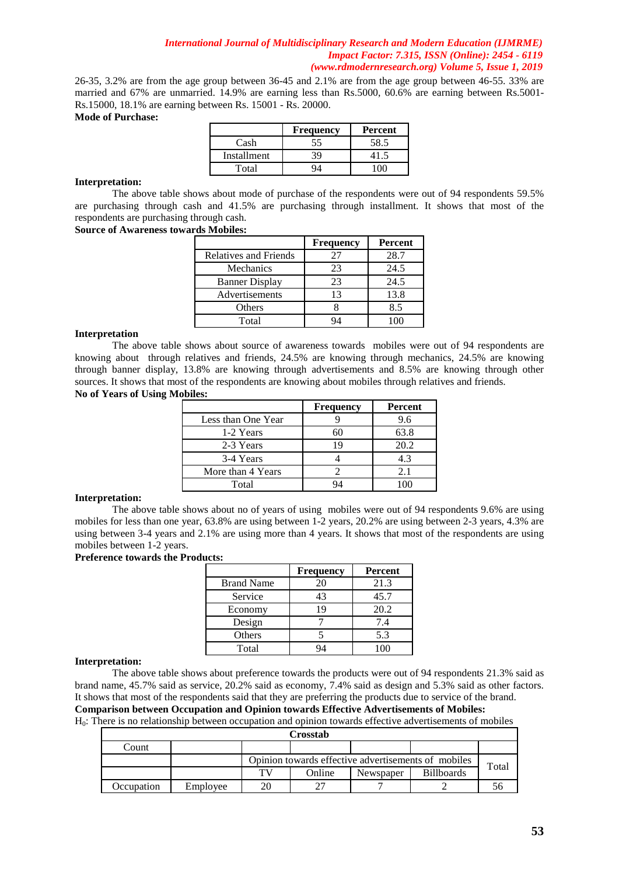26-35, 3.2% are from the age group between 36-45 and 2.1% are from the age group between 46-55. 33% are married and 67% are unmarried. 14.9% are earning less than Rs.5000, 60.6% are earning between Rs.5001- Rs.15000, 18.1% are earning between Rs. 15001 - Rs. 20000.

#### **Mode of Purchase:**

|             | <b>Frequency</b> | Percent |
|-------------|------------------|---------|
| Cash        | 55               | 58.5    |
| Installment | 39               |         |
| Total       |                  |         |

#### **Interpretation:**

The above table shows about mode of purchase of the respondents were out of 94 respondents 59.5% are purchasing through cash and 41.5% are purchasing through installment. It shows that most of the respondents are purchasing through cash.

#### **Source of Awareness towards Mobiles:**

|                       | <b>Frequency</b> | Percent |
|-----------------------|------------------|---------|
| Relatives and Friends | 27               | 28.7    |
| Mechanics             | 23               | 24.5    |
| <b>Banner Display</b> | 23               | 24.5    |
| Advertisements        | 13               | 13.8    |
| Others                |                  | 8.5     |
| Total                 |                  | 100     |

#### **Interpretation**

The above table shows about source of awareness towards mobiles were out of 94 respondents are knowing about through relatives and friends, 24.5% are knowing through mechanics, 24.5% are knowing through banner display, 13.8% are knowing through advertisements and 8.5% are knowing through other sources. It shows that most of the respondents are knowing about mobiles through relatives and friends. **No of Years of Using Mobiles:**

|                    | <b>Frequency</b> | <b>Percent</b> |
|--------------------|------------------|----------------|
| Less than One Year |                  | 9.6            |
| 1-2 Years          | 60               | 63.8           |
| 2-3 Years          | 19               | 20.2           |
| 3-4 Years          |                  | 4.3            |
| More than 4 Years  |                  | 2.1            |
| Total              |                  |                |

### **Interpretation:**

The above table shows about no of years of using mobiles were out of 94 respondents 9.6% are using mobiles for less than one year, 63.8% are using between 1-2 years, 20.2% are using between 2-3 years, 4.3% are using between 3-4 years and 2.1% are using more than 4 years. It shows that most of the respondents are using mobiles between 1-2 years.

#### **Preference towards the Products:**

|                   | <b>Frequency</b> | <b>Percent</b> |
|-------------------|------------------|----------------|
| <b>Brand Name</b> | 20               | 21.3           |
| Service           | 43               | 45.7           |
| Economy           | 19               | 20.2           |
| Design            |                  | 7.4            |
| Others            |                  | 5.3            |
| Total             |                  | 100            |

### **Interpretation:**

The above table shows about preference towards the products were out of 94 respondents 21.3% said as brand name, 45.7% said as service, 20.2% said as economy, 7.4% said as design and 5.3% said as other factors. It shows that most of the respondents said that they are preferring the products due to service of the brand. **Comparison between Occupation and Opinion towards Effective Advertisements of Mobiles:**

H0: There is no relationship between occupation and opinion towards effective advertisements of mobiles

|            |          |    | Crosstab                                            |           |                   |       |  |
|------------|----------|----|-----------------------------------------------------|-----------|-------------------|-------|--|
| Count      |          |    |                                                     |           |                   |       |  |
|            |          |    | Opinion towards effective advertisements of mobiles |           |                   |       |  |
|            |          | тv | Online                                              | Newspaper | <b>Billboards</b> | Total |  |
| Occupation | Employee |    |                                                     |           |                   |       |  |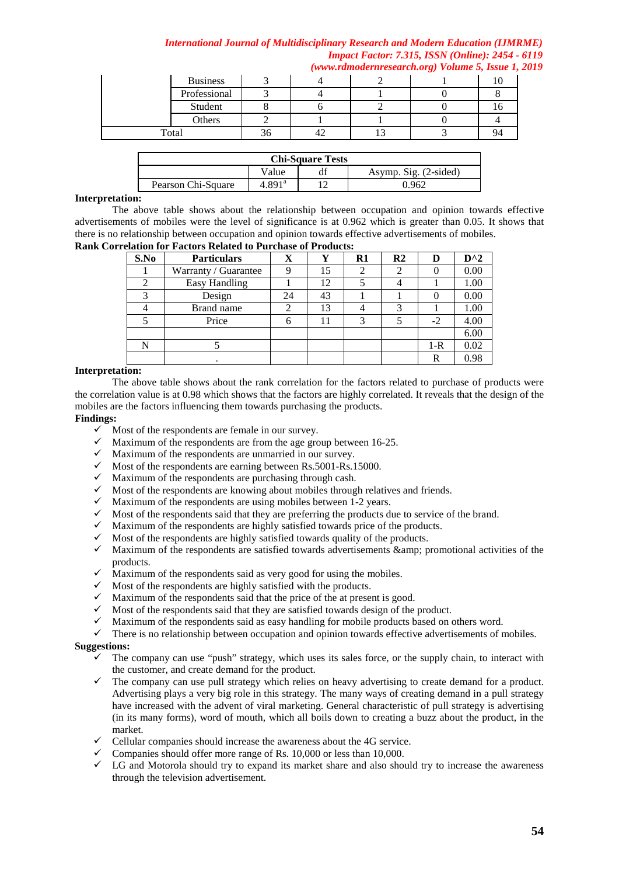|       |                 |    |  | $(www. ramoaern research. org) volume 3, Issue 1,$ |  |
|-------|-----------------|----|--|----------------------------------------------------|--|
|       | <b>Business</b> |    |  |                                                    |  |
|       | Professional    |    |  |                                                    |  |
|       | Student         |    |  |                                                    |  |
|       | Others          |    |  |                                                    |  |
| Total |                 | 36 |  |                                                    |  |

| <b>Chi-Square Tests</b> |                      |  |                       |  |  |
|-------------------------|----------------------|--|-----------------------|--|--|
|                         | Value                |  | Asymp. Sig. (2-sided) |  |  |
| Pearson Chi-Square      | $4.891$ <sup>a</sup> |  | .).962                |  |  |

### **Interpretation:**

The above table shows about the relationship between occupation and opinion towards effective advertisements of mobiles were the level of significance is at 0.962 which is greater than 0.05. It shows that there is no relationship between occupation and opinion towards effective advertisements of mobiles. **Rank Correlation for Factors Related to Purchase of Products:**

|      | viuuvii Ivi 1 uvuvib Iwiuwu iv 1 ul chubc ol 1 l vuucibi |    |    |               |                |         |               |
|------|----------------------------------------------------------|----|----|---------------|----------------|---------|---------------|
| S.No | <b>Particulars</b>                                       | X  |    | $\mathbf{R}1$ | R <sub>2</sub> | D       | $D^{\wedge}2$ |
|      | Warranty / Guarantee                                     |    | 15 |               |                |         | 0.00          |
| 2    | Easy Handling                                            |    | 12 |               |                |         | 1.00          |
| 3    | Design                                                   | 24 | 43 |               |                |         | 0.00          |
|      | Brand name                                               |    | 13 |               | 3              |         | 1.00          |
|      | Price                                                    |    |    |               |                | $-2$    | 4.00          |
|      |                                                          |    |    |               |                |         | 6.00          |
| N    |                                                          |    |    |               |                | $1 - R$ | 0.02          |
|      |                                                          |    |    |               |                | R       | 0.98          |

## **Interpretation:**

The above table shows about the rank correlation for the factors related to purchase of products were the correlation value is at 0.98 which shows that the factors are highly correlated. It reveals that the design of the mobiles are the factors influencing them towards purchasing the products.

## **Findings:**

- $\checkmark$  Most of the respondents are female in our survey.
- $\checkmark$  Maximum of the respondents are from the age group between 16-25.
- $\checkmark$  Maximum of the respondents are unmarried in our survey.
- $\checkmark$  Most of the respondents are earning between Rs.5001-Rs.15000.
- $\checkmark$  Maximum of the respondents are purchasing through cash.
- $\checkmark$  Most of the respondents are knowing about mobiles through relatives and friends.
- $\checkmark$  Maximum of the respondents are using mobiles between 1-2 years.
- $\checkmark$  Most of the respondents said that they are preferring the products due to service of the brand.
- $\checkmark$  Maximum of the respondents are highly satisfied towards price of the products.
- Most of the respondents are highly satisfied towards quality of the products.
- $\checkmark$  Maximum of the respondents are satisfied towards advertisements & amp; promotional activities of the products.
- $\checkmark$  Maximum of the respondents said as very good for using the mobiles.
- $\checkmark$  Most of the respondents are highly satisfied with the products.
- $\checkmark$  Maximum of the respondents said that the price of the at present is good.
- $\checkmark$  Most of the respondents said that they are satisfied towards design of the product.
- $\checkmark$  Maximum of the respondents said as easy handling for mobile products based on others word.
- $\checkmark$  There is no relationship between occupation and opinion towards effective advertisements of mobiles.

# **Suggestions:**

- $\checkmark$  The company can use "push" strategy, which uses its sales force, or the supply chain, to interact with the customer, and create demand for the product.
- $\checkmark$  The company can use pull strategy which relies on heavy advertising to create demand for a product. Advertising plays a very big role in this strategy. The many ways of creating demand in a pull strategy have increased with the advent of viral marketing. General characteristic of pull strategy is advertising (in its many forms), word of mouth, which all boils down to creating a buzz about the product, in the market.
- $\checkmark$  Cellular companies should increase the awareness about the 4G service.
- $\checkmark$  Companies should offer more range of Rs. 10,000 or less than 10,000.
- $\checkmark$  LG and Motorola should try to expand its market share and also should try to increase the awareness through the television advertisement.